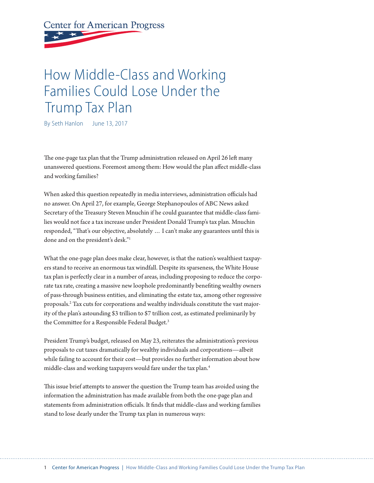# **Center for American Progress**

## How Middle-Class and Working Families Could Lose Under the Trump Tax Plan

By Seth Hanlon June 13, 2017

The one-page tax plan that the Trump administration released on April 26 left many unanswered questions. Foremost among them: How would the plan afect middle-class and working families?

When asked this question repeatedly in media interviews, administration officials had no answer. On April 27, for example, George Stephanopoulos of ABC News asked Secretary of the Treasury Steven Mnuchin if he could guarantee that middle-class families would not face a tax increase under President Donald Trump's tax plan. Mnuchin responded, "Tat's our objective, absolutely … I can't make any guarantees until this is done and on the president's desk."1

What the one-page plan does make clear, however, is that the nation's wealthiest taxpayers stand to receive an enormous tax windfall. Despite its sparseness, the White House tax plan is perfectly clear in a number of areas, including proposing to reduce the corporate tax rate, creating a massive new loophole predominantly benefting wealthy owners of pass-through business entities, and eliminating the estate tax, among other regressive proposals.2 Tax cuts for corporations and wealthy individuals constitute the vast majority of the plan's astounding \$3 trillion to \$7 trillion cost, as estimated preliminarily by the Committee for a Responsible Federal Budget.<sup>3</sup>

President Trump's budget, released on May 23, reiterates the administration's previous proposals to cut taxes dramatically for wealthy individuals and corporations—albeit while failing to account for their cost—but provides no further information about how middle-class and working taxpayers would fare under the tax plan.4

This issue brief attempts to answer the question the Trump team has avoided using the information the administration has made available from both the one-page plan and statements from administration officials. It finds that middle-class and working families stand to lose dearly under the Trump tax plan in numerous ways: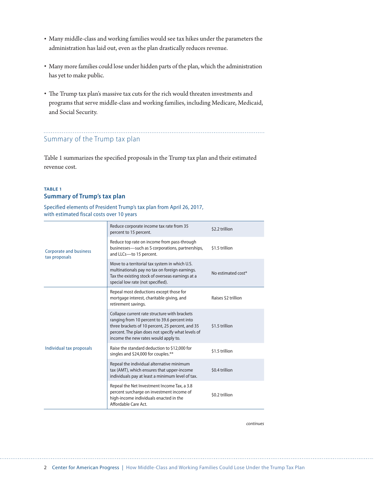- Many middle-class and working families would see tax hikes under the parameters the administration has laid out, even as the plan drastically reduces revenue.
- Many more families could lose under hidden parts of the plan, which the administration has yet to make public.
- The Trump tax plan's massive tax cuts for the rich would threaten investments and programs that serve middle-class and working families, including Medicare, Medicaid, and Social Security.

## Summary of the Trump tax plan

Table 1 summarizes the specifed proposals in the Trump tax plan and their estimated revenue cost.

### **TABLE 1 Summary of Trump's tax plan**

Specified elements of President Trump's tax plan from April 26, 2017, with estimated fiscal costs over 10 years

| <b>Corporate and business</b><br>tax proposals | Reduce corporate income tax rate from 35<br>percent to 15 percent.                                                                                                                                                                             | \$2.2 trillion      |
|------------------------------------------------|------------------------------------------------------------------------------------------------------------------------------------------------------------------------------------------------------------------------------------------------|---------------------|
|                                                | Reduce top rate on income from pass-through<br>businesses—such as S corporations, partnerships,<br>and LLCs-to 15 percent.                                                                                                                     | \$1.5 trillion      |
|                                                | Move to a territorial tax system in which U.S.<br>multinationals pay no tax on foreign earnings.<br>Tax the existing stock of overseas earnings at a<br>special low rate (not specified).                                                      | No estimated cost*  |
| Individual tax proposals                       | Repeal most deductions except those for<br>mortgage interest, charitable giving, and<br>retirement savings.                                                                                                                                    | Raises \$2 trillion |
|                                                | Collapse current rate structure with brackets<br>ranging from 10 percent to 39.6 percent into<br>three brackets of 10 percent, 25 percent, and 35<br>percent. The plan does not specify what levels of<br>income the new rates would apply to. | \$1.5 trillion      |
|                                                | Raise the standard deduction to \$12,000 for<br>singles and \$24,000 for couples.**                                                                                                                                                            | \$1.5 trillion      |
|                                                | Repeal the individual alternative minimum<br>tax (AMT), which ensures that upper-income<br>individuals pay at least a minimum level of tax.                                                                                                    | \$0.4 trillion      |
|                                                | Repeal the Net Investment Income Tax, a 3.8<br>percent surcharge on investment income of<br>high-income individuals enacted in the<br>Affordable Care Act.                                                                                     | \$0.2 trillion      |

*continues*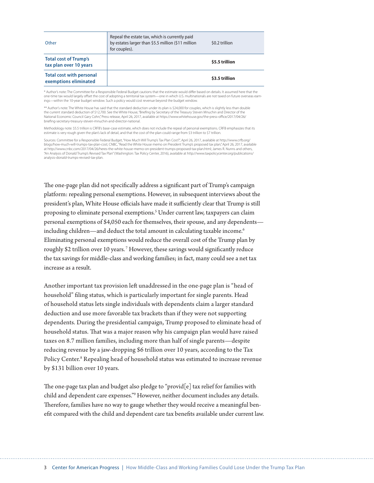| Other                                                    | Repeal the estate tax, which is currently paid<br>by estates larger than \$5.5 million (\$11 million<br>for couples). | \$0.2 trillion |
|----------------------------------------------------------|-----------------------------------------------------------------------------------------------------------------------|----------------|
| <b>Total cost of Trump's</b><br>tax plan over 10 years   |                                                                                                                       | \$5.5 trillion |
| <b>Total cost with personal</b><br>exemptions eliminated |                                                                                                                       | \$3.5 trillion |

\* Author's note: The Committee for a Responsible Federal Budget cautions that the estimate would difer based on details. It assumed here that the one-time tax would largely ofset the cost of adopting a territorial tax system—one in which U.S. multinationals are not taxed on future overseas earnings—within the 10-year budget window. Such a policy would cost revenue beyond the budget window.

\*\* Author's note: The White House has said that the standard deduction under its plan is \$24,000 for couples, which is slightly less than double the current standard deduction of \$12,700. See the White House, "Briefng by Secretary of the Treasury Steven Mnuchin and Director of the National Economic Council Gary Cohn," Press release, April 26, 2017, available at https://www.whitehouse.gov/the-press-office/2017/04/26/ briefng-secretary-treasury-steven-mnuchin-and-director-national.

Methodology note: \$5.5 trillion is CRFB's base-case estimate, which does not include the repeal of personal exemptions. CRFB emphasizes that its estimate is very rough given the plan's lack of detail, and that the cost of the plan could range from \$3 trillion to \$7 trillion.

Sources: Committee for a Responsible Federal Budget, "How Much Will Trump's Tax Plan Cost?", April 26, 2017, available at http://www.crfb.org/ blogs/how-much-will-trumps-tax-plan-cost; CNBC, "Read the White House memo on President Trump's proposed tax plan," April 26, 2017, available at http://www.cnbc.com/2017/04/26/heres-the-white-house-memo-on-president-trumps-proposed-tax-plan.html; James R. Nunns and others,<br>"An Analysis of Donald Trump's Revised Tax Plan" (Washington: Tax Policy Center, 2016), av analysis-donald-trumps-revised-tax-plan.

The one-page plan did not specifically address a significant part of Trump's campaign platform: repealing personal exemptions. However, in subsequent interviews about the president's plan, White House officials have made it sufficiently clear that Trump is still proposing to eliminate personal exemptions.<sup>5</sup> Under current law, taxpayers can claim personal exemptions of \$4,050 each for themselves, their spouse, and any dependents including children—and deduct the total amount in calculating taxable income.<sup>6</sup> Eliminating personal exemptions would reduce the overall cost of the Trump plan by roughly \$2 trillion over 10 years. 7 However, these savings would signifcantly reduce the tax savings for middle-class and working families; in fact, many could see a net tax increase as a result.

Another important tax provision left unaddressed in the one-page plan is "head of household" fling status, which is particularly important for single parents. Head of household status lets single individuals with dependents claim a larger standard deduction and use more favorable tax brackets than if they were not supporting dependents. During the presidential campaign, Trump proposed to eliminate head of household status. That was a major reason why his campaign plan would have raised taxes on 8.7 million families, including more than half of single parents—despite reducing revenue by a jaw-dropping \$6 trillion over 10 years, according to the Tax Policy Center.<sup>8</sup> Repealing head of household status was estimated to increase revenue by \$131 billion over 10 years.

The one-page tax plan and budget also pledge to "provid $[e]$  tax relief for families with child and dependent care expenses."9 However, neither document includes any details. Therefore, families have no way to gauge whether they would receive a meaningful beneft compared with the child and dependent care tax benefts available under current law.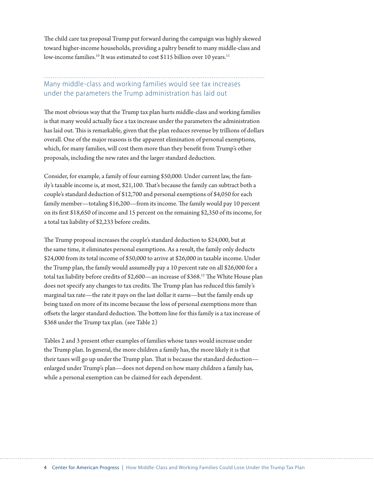The child care tax proposal Trump put forward during the campaign was highly skewed toward higher-income households, providing a paltry beneft to many middle-class and low-income families.<sup>10</sup> It was estimated to cost \$115 billion over 10 years.<sup>11</sup>

## Many middle-class and working families would see tax increases under the parameters the Trump administration has laid out

The most obvious way that the Trump tax plan hurts middle-class and working families is that many would actually face a tax increase under the parameters the administration has laid out. This is remarkable, given that the plan reduces revenue by trillions of dollars overall. One of the major reasons is the apparent elimination of personal exemptions, which, for many families, will cost them more than they beneft from Trump's other proposals, including the new rates and the larger standard deduction.

Consider, for example, a family of four earning \$50,000. Under current law, the family's taxable income is, at most, \$21,100. That's because the family can subtract both a couple's standard deduction of \$12,700 and personal exemptions of \$4,050 for each family member—totaling \$16,200—from its income. The family would pay 10 percent on its frst \$18,650 of income and 15 percent on the remaining \$2,350 of its income, for a total tax liability of \$2,233 before credits.

The Trump proposal increases the couple's standard deduction to \$24,000, but at the same time, it eliminates personal exemptions. As a result, the family only deducts \$24,000 from its total income of \$50,000 to arrive at \$26,000 in taxable income. Under the Trump plan, the family would assumedly pay a 10 percent rate on all \$26,000 for a total tax liability before credits of \$2,600—an increase of \$368.<sup>12</sup> The White House plan does not specify any changes to tax credits. The Trump plan has reduced this family's marginal tax rate—the rate it pays on the last dollar it earns—but the family ends up being taxed on more of its income because the loss of personal exemptions more than offsets the larger standard deduction. The bottom line for this family is a tax increase of \$368 under the Trump tax plan. (see Table 2)

Tables 2 and 3 present other examples of families whose taxes would increase under the Trump plan. In general, the more children a family has, the more likely it is that their taxes will go up under the Trump plan. That is because the standard deduction enlarged under Trump's plan—does not depend on how many children a family has, while a personal exemption can be claimed for each dependent.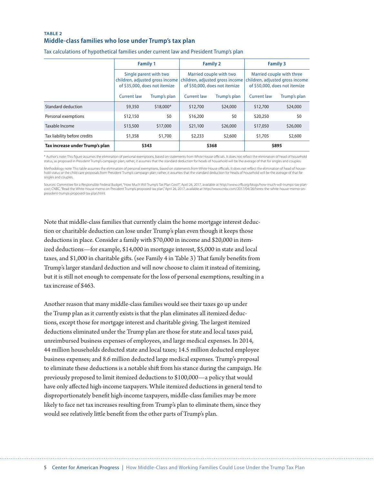#### **TABLE 2 Middle-class families who lose under Trump's tax plan**

|                                 | <b>Family 1</b>                                                                            |              | <b>Family 2</b>                                                                             |              | <b>Family 3</b>                                                                               |              |
|---------------------------------|--------------------------------------------------------------------------------------------|--------------|---------------------------------------------------------------------------------------------|--------------|-----------------------------------------------------------------------------------------------|--------------|
|                                 | Single parent with two<br>children, adjusted gross income<br>of \$35,000, does not itemize |              | Married couple with two<br>children, adjusted gross income<br>of \$50,000, does not itemize |              | Married couple with three<br>children, adjusted gross income<br>of \$50,000, does not itemize |              |
|                                 | Current law                                                                                | Trump's plan | <b>Current law</b>                                                                          | Trump's plan | <b>Current law</b>                                                                            | Trump's plan |
| Standard deduction              | \$9,350                                                                                    | \$18,000*    | \$12,700                                                                                    | \$24,000     | \$12,700                                                                                      | \$24,000     |
| Personal exemptions             | \$12,150                                                                                   | \$0          | \$16,200                                                                                    | \$0          | \$20,250                                                                                      | \$0          |
| Taxable Income                  | \$13,500                                                                                   | \$17,000     | \$21,100                                                                                    | \$26,000     | \$17,050                                                                                      | \$26,000     |
| Tax liability before credits    | \$1,358                                                                                    | \$1,700      | \$2,233                                                                                     | \$2,600      | \$1,705                                                                                       | \$2,600      |
| Tax increase under Trump's plan | \$343                                                                                      |              | \$368                                                                                       |              | \$895                                                                                         |              |

Tax calculations of hypothetical families under current law and President Trump's plan

\* Author's note: This figure assumes the elimination of personal exemptions, based on statements from White House officials. It does not reflect the elimination of head of household status, as proposed in President Trump's campaign plan; rather, it assumes that the standard deduction for heads of household will be the average of that for singles and couples.

Methodology note: This table assumes the elimination of personal exemptions, based on statements from White House officials. It does not reflect the elimination of head of household status or the child care proposals from President Trump's campaign plan; rather, it assumes that the standard deduction for heads of household will be the average of that for singles and couples.

Sources: Committee for a Responsible Federal Budget, "How Much Will Trump's Tax Plan Cost?", April 26, 2017, available at http://www.crfb.org/blogs/how-much-will-trumps-tax-plancost; CNBC, "Read the White House memo on President Trump's proposed tax plan," April 26, 2017, available at http://www.cnbc.com/2017/04/26/heres-the-white-house-memo-onpresident-trumps-proposed-tax-plan.html.

Note that middle-class families that currently claim the home mortgage interest deduction or charitable deduction can lose under Trump's plan even though it keeps those deductions in place. Consider a family with \$70,000 in income and \$20,000 in itemized deductions—for example, \$14,000 in mortgage interest, \$5,000 in state and local taxes, and \$1,000 in charitable gifts. (see Family 4 in Table 3) That family benefits from Trump's larger standard deduction and will now choose to claim it instead of itemizing, but it is still not enough to compensate for the loss of personal exemptions, resulting in a tax increase of \$463.

Another reason that many middle-class families would see their taxes go up under the Trump plan as it currently exists is that the plan eliminates all itemized deductions, except those for mortgage interest and charitable giving. The largest itemized deductions eliminated under the Trump plan are those for state and local taxes paid, unreimbursed business expenses of employees, and large medical expenses. In 2014, 44 million households deducted state and local taxes; 14.5 million deducted employee business expenses; and 8.6 million deducted large medical expenses. Trump's proposal to eliminate these deductions is a notable shif from his stance during the campaign. He previously proposed to limit itemized deductions to \$100,000—a policy that would have only afected high-income taxpayers. While itemized deductions in general tend to disproportionately beneft high-income taxpayers, middle-class families may be more likely to face net tax increases resulting from Trump's plan to eliminate them, since they would see relatively litle beneft from the other parts of Trump's plan.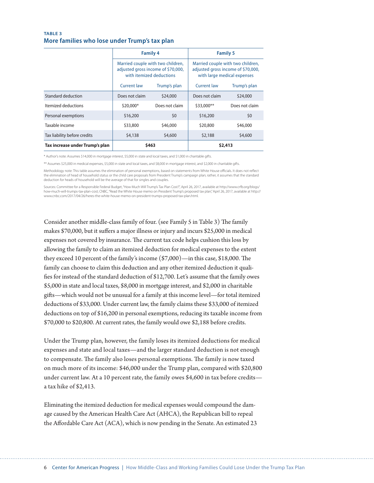#### **TABLE 3 More families who lose under Trump's tax plan**

|                                 | <b>Family 4</b><br>Married couple with two children,<br>adjusted gross income of \$70,000,<br>with itemized deductions |                | <b>Family 5</b>                                                                                        |                |  |
|---------------------------------|------------------------------------------------------------------------------------------------------------------------|----------------|--------------------------------------------------------------------------------------------------------|----------------|--|
|                                 |                                                                                                                        |                | Married couple with two children,<br>adjusted gross income of \$70,000,<br>with large medical expenses |                |  |
|                                 | <b>Current law</b>                                                                                                     | Trump's plan   | <b>Current law</b>                                                                                     | Trump's plan   |  |
| Standard deduction              | Does not claim                                                                                                         | \$24,000       | Does not claim                                                                                         | \$24,000       |  |
| Itemized deductions             | \$20,000*                                                                                                              | Does not claim | \$33,000**                                                                                             | Does not claim |  |
| Personal exemptions             | \$16,200                                                                                                               | \$0            | \$16,200                                                                                               | \$0            |  |
| Taxable income                  | \$33,800                                                                                                               | \$46,000       | \$20,800                                                                                               | \$46,000       |  |
| Tax liability before credits    | \$4,138                                                                                                                | \$4,600        | \$2,188                                                                                                | \$4,600        |  |
| Tax increase under Trump's plan | \$463                                                                                                                  |                | \$2,413                                                                                                |                |  |

\* Author's note: Assumes \$14,000 in mortgage interest, \$5,000 in state and local taxes, and \$1,000 in charitable gifts.

\*\* Assumes \$25,000 in medical expenses, \$5,000 in state and local taxes, and \$8,000 in mortgage interest, and \$2,000 in charitable gifts.

Methodology note: This table assumes the elimination of personal exemptions, based on statements from White House officials. It does not reflect the elimination of head of household status or the child care proposals from President Trump's campaign plan; rather, it assumes that the standard deduction for heads of household will be the average of that for singles and couples.

Sources: Committee for a Responsible Federal Budget, "How Much Will Trump's Tax Plan Cost?", April 26, 2017, available at http://www.crfb.org/blogs/ how-much-will-trumps-tax-plan-cost; CNBC, "Read the White House memo on President Trump's proposed tax plan," April 26, 2017, available at http:// www.cnbc.com/2017/04/26/heres-the-white-house-memo-on-president-trumps-proposed-tax-plan.html.

Consider another middle-class family of four. (see Family 5 in Table 3) The family makes \$70,000, but it sufers a major illness or injury and incurs \$25,000 in medical expenses not covered by insurance. The current tax code helps cushion this loss by allowing the family to claim an itemized deduction for medical expenses to the extent they exceed 10 percent of the family's income  $(\$7,000)$ —in this case, \$18,000. The family can choose to claim this deduction and any other itemized deduction it qualifes for instead of the standard deduction of \$12,700. Let's assume that the family owes \$5,000 in state and local taxes, \$8,000 in mortgage interest, and \$2,000 in charitable gifs—which would not be unusual for a family at this income level—for total itemized deductions of \$33,000. Under current law, the family claims these \$33,000 of itemized deductions on top of \$16,200 in personal exemptions, reducing its taxable income from \$70,000 to \$20,800. At current rates, the family would owe \$2,188 before credits.

Under the Trump plan, however, the family loses its itemized deductions for medical expenses and state and local taxes—and the larger standard deduction is not enough to compensate. The family also loses personal exemptions. The family is now taxed on much more of its income: \$46,000 under the Trump plan, compared with \$20,800 under current law. At a 10 percent rate, the family owes \$4,600 in tax before credits a tax hike of \$2,413.

Eliminating the itemized deduction for medical expenses would compound the damage caused by the American Health Care Act (AHCA), the Republican bill to repeal the Afordable Care Act (ACA), which is now pending in the Senate. An estimated 23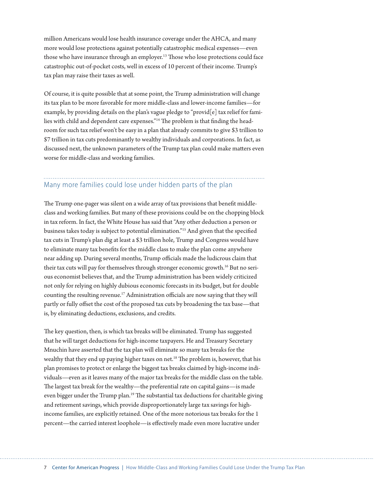million Americans would lose health insurance coverage under the AHCA, and many more would lose protections against potentially catastrophic medical expenses—even those who have insurance through an employer.<sup>13</sup> Those who lose protections could face catastrophic out-of-pocket costs, well in excess of 10 percent of their income. Trump's tax plan may raise their taxes as well.

Of course, it is quite possible that at some point, the Trump administration will change its tax plan to be more favorable for more middle-class and lower-income families—for example, by providing details on the plan's vague pledge to "provid<sup>[e]</sup> tax relief for families with child and dependent care expenses."<sup>14</sup> The problem is that finding the headroom for such tax relief won't be easy in a plan that already commits to give \$3 trillion to \$7 trillion in tax cuts predominantly to wealthy individuals and corporations. In fact, as discussed next, the unknown parameters of the Trump tax plan could make maters even worse for middle-class and working families.

## Many more families could lose under hidden parts of the plan

The Trump one-pager was silent on a wide array of tax provisions that benefit middleclass and working families. But many of these provisions could be on the chopping block in tax reform. In fact, the White House has said that "Any other deduction a person or business takes today is subject to potential elimination."15 And given that the specifed tax cuts in Trump's plan dig at least a \$3 trillion hole, Trump and Congress would have to eliminate many tax benefts for the middle class to make the plan come anywhere near adding up. During several months, Trump officials made the ludicrous claim that their tax cuts will pay for themselves through stronger economic growth.<sup>16</sup> But no serious economist believes that, and the Trump administration has been widely criticized not only for relying on highly dubious economic forecasts in its budget, but for double counting the resulting revenue.<sup>17</sup> Administration officials are now saying that they will partly or fully ofset the cost of the proposed tax cuts by broadening the tax base—that is, by eliminating deductions, exclusions, and credits.

The key question, then, is which tax breaks will be eliminated. Trump has suggested that he will target deductions for high-income taxpayers. He and Treasury Secretary Mnuchin have asserted that the tax plan will eliminate so many tax breaks for the wealthy that they end up paying higher taxes on net.<sup>18</sup> The problem is, however, that his plan promises to protect or enlarge the biggest tax breaks claimed by high-income individuals—even as it leaves many of the major tax breaks for the middle class on the table. The largest tax break for the wealthy—the preferential rate on capital gains—is made even bigger under the Trump plan.<sup>19</sup> The substantial tax deductions for charitable giving and retirement savings, which provide disproportionately large tax savings for highincome families, are explicitly retained. One of the more notorious tax breaks for the 1 percent—the carried interest loophole—is efectively made even more lucrative under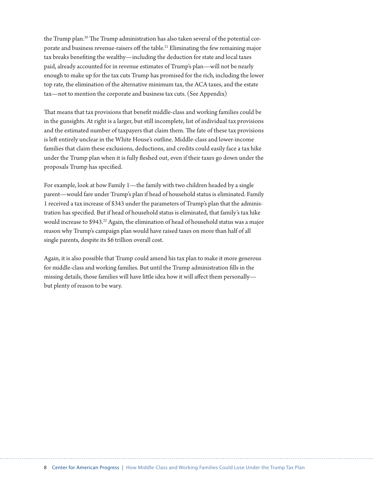the Trump plan.<sup>20</sup> The Trump administration has also taken several of the potential corporate and business revenue-raisers off the table.<sup>21</sup> Eliminating the few remaining major tax breaks benefting the wealthy—including the deduction for state and local taxes paid, already accounted for in revenue estimates of Trump's plan—will not be nearly enough to make up for the tax cuts Trump has promised for the rich, including the lower top rate, the elimination of the alternative minimum tax, the ACA taxes, and the estate tax—not to mention the corporate and business tax cuts. (See Appendix)

Tat means that tax provisions that beneft middle-class and working families could be in the gunsights. At right is a larger, but still incomplete, list of individual tax provisions and the estimated number of taxpayers that claim them. The fate of these tax provisions is left entirely unclear in the White House's outline. Middle-class and lower-income families that claim these exclusions, deductions, and credits could easily face a tax hike under the Trump plan when it is fully feshed out, even if their taxes go down under the proposals Trump has specifed.

For example, look at how Family 1—the family with two children headed by a single parent—would fare under Trump's plan if head of household status is eliminated. Family 1 received a tax increase of \$343 under the parameters of Trump's plan that the administration has specifed. But if head of household status is eliminated, that family's tax hike would increase to \$943.<sup>22</sup> Again, the elimination of head of household status was a major reason why Trump's campaign plan would have raised taxes on more than half of all single parents, despite its \$6 trillion overall cost.

Again, it is also possible that Trump could amend his tax plan to make it more generous for middle-class and working families. But until the Trump administration flls in the missing details, those families will have little idea how it will affect them personallybut plenty of reason to be wary.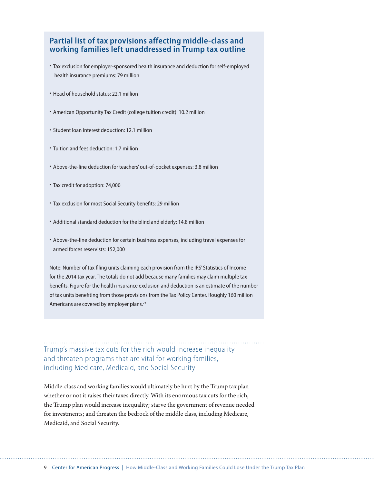## **Partial list of tax provisions affecting middle-class and working families left unaddressed in Trump tax outline**

- Tax exclusion for employer-sponsored health insurance and deduction for self-employed health insurance premiums: 79 million
- Head of household status: 22.1 million
- American Opportunity Tax Credit (college tuition credit): 10.2 million
- Student loan interest deduction: 12.1 million
- Tuition and fees deduction: 1.7 million
- Above-the-line deduction for teachers' out-of-pocket expenses: 3.8 million
- Tax credit for adoption: 74,000
- Tax exclusion for most Social Security benefits: 29 million
- Additional standard deduction for the blind and elderly: 14.8 million
- Above-the-line deduction for certain business expenses, including travel expenses for armed forces reservists: 152,000

Note: Number of tax filing units claiming each provision from the IRS' Statistics of Income for the 2014 tax year. The totals do not add because many families may claim multiple tax benefits. Figure for the health insurance exclusion and deduction is an estimate of the number of tax units benefiting from those provisions from the Tax Policy Center. Roughly 160 million Americans are covered by employer plans.<sup>23</sup>

Trump's massive tax cuts for the rich would increase inequality and threaten programs that are vital for working families, including Medicare, Medicaid, and Social Security

Middle-class and working families would ultimately be hurt by the Trump tax plan whether or not it raises their taxes directly. With its enormous tax cuts for the rich, the Trump plan would increase inequality; starve the government of revenue needed for investments; and threaten the bedrock of the middle class, including Medicare, Medicaid, and Social Security.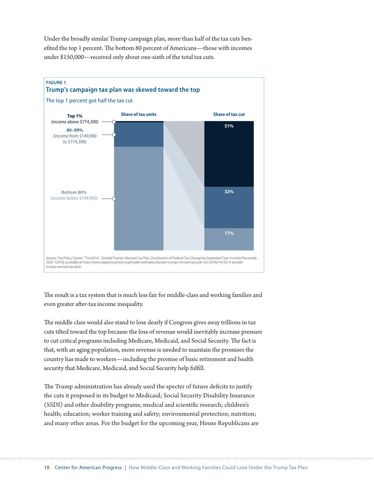Under the broadly similar Trump campaign plan, more than half of the tax cuts benefited the top 1 percent. The bottom 80 percent of Americans—those with incomes under \$150,000—received only about one-sixth of the total tax cuts.



The result is a tax system that is much less fair for middle-class and working families and even greater after-tax income inequality.

The middle class would also stand to lose dearly if Congress gives away trillions in tax cuts tilted toward the top because the loss of revenue would inevitably increase pressure to cut critical programs including Medicare, Medicaid, and Social Security. The fact is that, with an aging population, more revenue is needed to maintain the promises the country has made to workers—including the promise of basic retirement and health security that Medicare, Medicaid, and Social Security help fulfll.

The Trump administration has already used the specter of future deficits to justify the cuts it proposed in its budget to Medicaid; Social Security Disability Insurance (SSDI) and other disability programs; medical and scientifc research; children's health; education; worker training and safety; environmental protection; nutrition; and many other areas. For the budget for the upcoming year, House Republicans are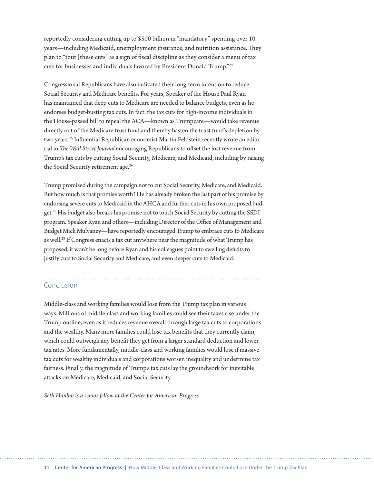reportedly considering cuting up to \$500 billion in "mandatory" spending over 10 years—including Medicaid, unemployment insurance, and nutrition assistance. They plan to "tout [these cuts] as a sign of fscal discipline as they consider a menu of tax cuts for businesses and individuals favored by President Donald Trump."24

Congressional Republicans have also indicated their long-term intention to reduce Social Security and Medicare benefts. For years, Speaker of the House Paul Ryan has maintained that deep cuts to Medicare are needed to balance budgets, even as he endorses budget-busting tax cuts. In fact, the tax cuts for high-income individuals in the House-passed bill to repeal the ACA—known as Trumpcare—would take revenue directly out of the Medicare trust fund and thereby hasten the trust fund's depletion by two years.<sup>25</sup> Influential Republican economist Martin Feldstein recently wrote an editorial in *Te Wall Street Journal* encouraging Republicans to ofset the lost revenue from Trump's tax cuts by cuting Social Security, Medicare, and Medicaid, including by raising the Social Security retirement age.<sup>26</sup>

Trump promised during the campaign not to cut Social Security, Medicare, and Medicaid. But how much is that promise worth? He has already broken the last part of his promise by endorsing severe cuts to Medicaid in the AHCA and further cuts in his own proposed budget.27 His budget also breaks his promise not to touch Social Security by cuting the SSDI program. Speaker Ryan and others—including Director of the Office of Management and Budget Mick Mulvaney—have reportedly encouraged Trump to embrace cuts to Medicare as well.<sup>28</sup> If Congress enacts a tax cut anywhere near the magnitude of what Trump has proposed, it won't be long before Ryan and his colleagues point to swelling defcits to justify cuts to Social Security and Medicare, and even deeper cuts to Medicaid.

## Conclusion

Middle-class and working families would lose from the Trump tax plan in various ways. Millions of middle-class and working families could see their taxes rise under the Trump outline, even as it reduces revenue overall through large tax cuts to corporations and the wealthy. Many more families could lose tax benefts that they currently claim, which could outweigh any beneft they get from a larger standard deduction and lower tax rates. More fundamentally, middle-class and working families would lose if massive tax cuts for wealthy individuals and corporations worsen inequality and undermine tax fairness. Finally, the magnitude of Trump's tax cuts lay the groundwork for inevitable atacks on Medicare, Medicaid, and Social Security.

*Seth Hanlon is a senior fellow at the Center for American Progress.*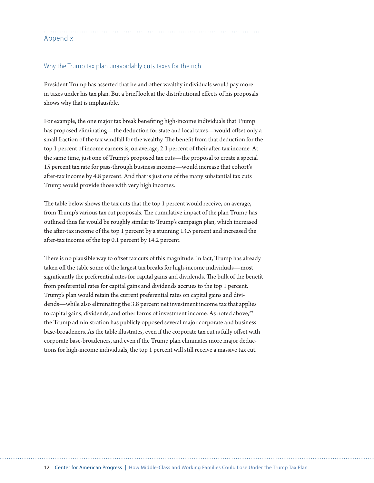## Appendix

### Why the Trump tax plan unavoidably cuts taxes for the rich

President Trump has asserted that he and other wealthy individuals would pay more in taxes under his tax plan. But a brief look at the distributional efects of his proposals shows why that is implausible.

For example, the one major tax break benefting high-income individuals that Trump has proposed eliminating—the deduction for state and local taxes—would offset only a small fraction of the tax windfall for the wealthy. The benefit from that deduction for the top 1 percent of income earners is, on average, 2.1 percent of their after-tax income. At the same time, just one of Trump's proposed tax cuts—the proposal to create a special 15 percent tax rate for pass-through business income—would increase that cohort's afer-tax income by 4.8 percent. And that is just one of the many substantial tax cuts Trump would provide those with very high incomes.

The table below shows the tax cuts that the top 1 percent would receive, on average, from Trump's various tax cut proposals. The cumulative impact of the plan Trump has outlined thus far would be roughly similar to Trump's campaign plan, which increased the afer-tax income of the top 1 percent by a stunning 13.5 percent and increased the afer-tax income of the top 0.1 percent by 14.2 percent.

There is no plausible way to offset tax cuts of this magnitude. In fact, Trump has already taken off the table some of the largest tax breaks for high-income individuals—most significantly the preferential rates for capital gains and dividends. The bulk of the benefit from preferential rates for capital gains and dividends accrues to the top 1 percent. Trump's plan would retain the current preferential rates on capital gains and dividends—while also eliminating the 3.8 percent net investment income tax that applies to capital gains, dividends, and other forms of investment income. As noted above,<sup>29</sup> the Trump administration has publicly opposed several major corporate and business base-broadeners. As the table illustrates, even if the corporate tax cut is fully offset with corporate base-broadeners, and even if the Trump plan eliminates more major deductions for high-income individuals, the top 1 percent will still receive a massive tax cut.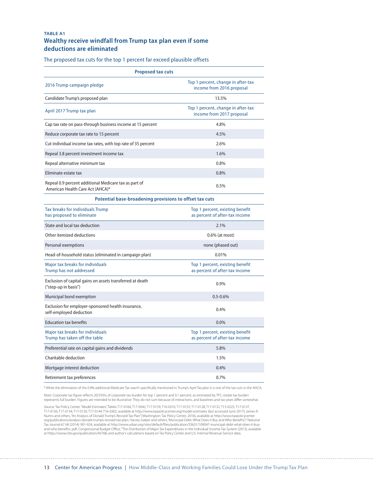### **TABLE A1 Wealthy receive windfall from Trump tax plan even if some deductions are eliminated**

The proposed tax cuts for the top 1 percent far exceed plausible offsets

| Top 1 percent, change in after-tax<br>income from 2016 proposal<br>13.5%<br>Top 1 percent, change in after-tax<br>income from 2017 proposal<br>4.8%<br>4.5%<br>2.6%<br>1.6%<br>0.8%<br>0.8%<br>0.5%<br>American Health Care Act (AHCA)*<br>Potential base-broadening provisions to offset tax cuts<br>Top 1 percent, existing benefit<br>as percent of after-tax income<br>2.1%<br>0.6% (at most)<br>none (phased out)<br>0.01%<br>Major tax breaks for individuals<br>Top 1 percent, existing benefit<br>as percent of after-tax income<br>0.9%<br>$0.5 - 0.6%$<br>0.4%<br>0.0%<br>Top 1 percent, existing benefit<br>as percent of after-tax income<br>5.8%<br>1.5%<br>0.4% | <b>Proposed tax cuts</b>                                                          |      |  |  |  |
|-------------------------------------------------------------------------------------------------------------------------------------------------------------------------------------------------------------------------------------------------------------------------------------------------------------------------------------------------------------------------------------------------------------------------------------------------------------------------------------------------------------------------------------------------------------------------------------------------------------------------------------------------------------------------------|-----------------------------------------------------------------------------------|------|--|--|--|
|                                                                                                                                                                                                                                                                                                                                                                                                                                                                                                                                                                                                                                                                               | 2016 Trump campaign pledge                                                        |      |  |  |  |
|                                                                                                                                                                                                                                                                                                                                                                                                                                                                                                                                                                                                                                                                               | Candidate Trump's proposed plan                                                   |      |  |  |  |
|                                                                                                                                                                                                                                                                                                                                                                                                                                                                                                                                                                                                                                                                               | April 2017 Trump tax plan                                                         |      |  |  |  |
|                                                                                                                                                                                                                                                                                                                                                                                                                                                                                                                                                                                                                                                                               | Cap tax rate on pass-through business income at 15 percent                        |      |  |  |  |
|                                                                                                                                                                                                                                                                                                                                                                                                                                                                                                                                                                                                                                                                               | Reduce corporate tax rate to 15 percent                                           |      |  |  |  |
|                                                                                                                                                                                                                                                                                                                                                                                                                                                                                                                                                                                                                                                                               | Cut individual income tax rates, with top rate of 35 percent                      |      |  |  |  |
|                                                                                                                                                                                                                                                                                                                                                                                                                                                                                                                                                                                                                                                                               | Repeal 3.8 percent investment income tax                                          |      |  |  |  |
|                                                                                                                                                                                                                                                                                                                                                                                                                                                                                                                                                                                                                                                                               | Repeal alternative minimum tax                                                    |      |  |  |  |
|                                                                                                                                                                                                                                                                                                                                                                                                                                                                                                                                                                                                                                                                               | Eliminate estate tax                                                              |      |  |  |  |
|                                                                                                                                                                                                                                                                                                                                                                                                                                                                                                                                                                                                                                                                               | Repeal 0.9 percent additional Medicare tax as part of                             |      |  |  |  |
|                                                                                                                                                                                                                                                                                                                                                                                                                                                                                                                                                                                                                                                                               |                                                                                   |      |  |  |  |
|                                                                                                                                                                                                                                                                                                                                                                                                                                                                                                                                                                                                                                                                               | Tax breaks for individuals Trump<br>has proposed to eliminate                     |      |  |  |  |
|                                                                                                                                                                                                                                                                                                                                                                                                                                                                                                                                                                                                                                                                               | State and local tax deduction                                                     |      |  |  |  |
|                                                                                                                                                                                                                                                                                                                                                                                                                                                                                                                                                                                                                                                                               | Other itemized deductions                                                         |      |  |  |  |
|                                                                                                                                                                                                                                                                                                                                                                                                                                                                                                                                                                                                                                                                               | Personal exemptions                                                               |      |  |  |  |
|                                                                                                                                                                                                                                                                                                                                                                                                                                                                                                                                                                                                                                                                               | Head-of-household status (eliminated in campaign plan)                            |      |  |  |  |
|                                                                                                                                                                                                                                                                                                                                                                                                                                                                                                                                                                                                                                                                               | Trump has not addressed                                                           |      |  |  |  |
|                                                                                                                                                                                                                                                                                                                                                                                                                                                                                                                                                                                                                                                                               | Exclusion of capital gains on assets transferred at death<br>("step-up in basis") |      |  |  |  |
|                                                                                                                                                                                                                                                                                                                                                                                                                                                                                                                                                                                                                                                                               | Municipal bond exemption                                                          |      |  |  |  |
|                                                                                                                                                                                                                                                                                                                                                                                                                                                                                                                                                                                                                                                                               | Exclusion for employer-sponsored health insurance,<br>self-employed deduction     |      |  |  |  |
|                                                                                                                                                                                                                                                                                                                                                                                                                                                                                                                                                                                                                                                                               | <b>Education tax benefits</b>                                                     |      |  |  |  |
|                                                                                                                                                                                                                                                                                                                                                                                                                                                                                                                                                                                                                                                                               | Major tax breaks for individuals<br>Trump has taken off the table                 |      |  |  |  |
|                                                                                                                                                                                                                                                                                                                                                                                                                                                                                                                                                                                                                                                                               | Preferential rate on capital gains and dividends                                  |      |  |  |  |
|                                                                                                                                                                                                                                                                                                                                                                                                                                                                                                                                                                                                                                                                               | Charitable deduction                                                              |      |  |  |  |
|                                                                                                                                                                                                                                                                                                                                                                                                                                                                                                                                                                                                                                                                               | Mortgage interest deduction                                                       |      |  |  |  |
|                                                                                                                                                                                                                                                                                                                                                                                                                                                                                                                                                                                                                                                                               | Retirement tax preferences                                                        | 0.7% |  |  |  |

\* While the elimination of the 0.9% additional Medicare Tax wasn't specifcally mentioned in Trump's April Tax plan it is one of the tax cuts in the AHCA.

Note: Corporate tax fgure refects 20/35ths of corporate tax burden for top 1 percent and 0.1 percent, as estimated by TPC; estate tax burden represents full burden. Figures are intended to be illustrative: They do not sum because of interactions, and baselines and tax years difer somewhat.

Source: Tax Policy Center, "Model Estimates,"Tables T17-0164, T17-0042, T17-0159, T16-0310, T17-0153, T17-0132, T13-0212, T17-0137,<br>T17-0136, T17-0134, T17-0130, T17-0144, T16-0302, available at http://www.taxpolicycenter. Nunns and others, "An Analysis of Donald Trump's Revised Tax Plan" (Washington: Tax Policy Center, 2016), available at http://www.taxpolicycenter. org/publications/analysis-donald-trumps-revised-tax-plan; Harvey Galper and others, "Municipal Debt: What Does It Buy and Who Benefts?," National Tax Journal 67 (4) (2014): 901-924, available at http://www.urban.org/sites/default/fles/publication/33631/109047-municipal-debt-what-does-it-buyand-who-benefits-.pdf; Congressional Budget Office, "The Distribution of Major Tax Expenditures in the Individual Income Tax System (2013), available<br>at https://www.cbo.gov/publication/43768; and author's calculations base

. . . . . . . . . . . . . . . . . . .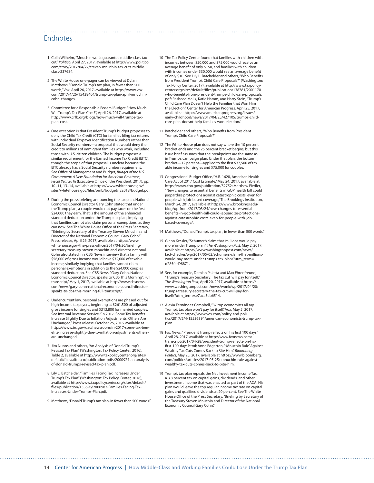## Endnotes

- 1 Colin Wilhelm, "Mnuchin won't guarantee middle-class tax cut," *Politico*, April 27, 2017, available at [http://www.politico.](http://www.politico.com/story/2017/04/27/steven-mnuchin-tax-cuts-middle-class-237684) [com/story/2017/04/27/steven-mnuchin-tax-cuts-middle](http://www.politico.com/story/2017/04/27/steven-mnuchin-tax-cuts-middle-class-237684)[class-237684.](http://www.politico.com/story/2017/04/27/steven-mnuchin-tax-cuts-middle-class-237684)
- 2 The White House one-pager can be viewed at Dylan Matthews, "Donald Trump's tax plan, in fewer than 500 words," Vox, April 26, 2017, available at https://www.vox. com/2017/4/26/15438404/trump-tax-plan-april-mnuchincohn-changes.
- 3 Committee for a Responsible Federal Budget, "How Much Will Trump's Tax Plan Cost?", April 26, 2017, available at [http://www.crfb.org/blogs/how-much-will-trumps-tax](http://www.crfb.org/blogs/how-much-will-trumps-tax-plan-cost)[plan-cost.](http://www.crfb.org/blogs/how-much-will-trumps-tax-plan-cost)
- 4 One exception is that President Trump's budget proposes to deny the Child Tax Credit (CTC) for families fling tax returns with Individual Taxpayer Identifcation Numbers rather than Social Security numbers—a proposal that would deny the credit to millions of immigrant families who work, including those with U.S. citizen children. The budget proposes a similar requirement for the Earned Income Tax Credit (EITC), though the scope of that proposal is unclear because the EITC already has a Social Security number requirement. See Office of Management and Budget, *Budget of the U.S. Government: A New Foundation for American Greatness, Fiscal Year 2018 (Executive Office of the President, 2017), pp.* 10–11, 13–14, available at [https://www.whitehouse.gov/](https://www.whitehouse.gov/sites/whitehouse.gov/files/omb/budget/fy2018/budget.pdf) sites/whitehouse.gov/f[les/omb/budget/fy2018/budget.pdf.](https://www.whitehouse.gov/sites/whitehouse.gov/files/omb/budget/fy2018/budget.pdf)
- 5 During the press briefng announcing the tax plan, National Economic Council Director Gary Cohn stated that under the Trump plan, a couple would not pay taxes on the frst \$24,000 they earn. That is the amount of the enhanced standard deduction under the Trump tax plan, implying that families cannot also claim personal exemptions, as they can now. See The White House Office of the Press Secretary, "Briefng by Secretary of the Treasury Steven Mnuchin and Director of the National Economic Council Gary Cohn," Press release, April 26, 2017, available at [https://www.](https://www.whitehouse.gov/the-press-office/2017/04/26/briefing-secretary-treasury-steven-mnuchin-and-director-national) [whitehouse.gov/the-press-o](https://www.whitehouse.gov/the-press-office/2017/04/26/briefing-secretary-treasury-steven-mnuchin-and-director-national)ffice/2017/04/26/briefing[secretary-treasury-steven-mnuchin-and-director-national.](https://www.whitehouse.gov/the-press-office/2017/04/26/briefing-secretary-treasury-steven-mnuchin-and-director-national) Cohn also stated in a CBS News interview that a family with \$56,000 of gross income would have \$32,000 of taxable income, similarly implying that families cannot claim personal exemptions in addition to the \$24,000 couples standard deduction. See CBS News, "Gary Cohn, National Economic Council Director, speaks to 'CBS This Morning': Full transcript," May 1, 2017, available at [http://www.cbsnews.](http://www.cbsnews.com/news/gary-cohn-national-economic-council-director-speaks-to-cbs-this-morning-full-transcript/) [com/news/gary-cohn-national-economic-council-director](http://www.cbsnews.com/news/gary-cohn-national-economic-council-director-speaks-to-cbs-this-morning-full-transcript/)[speaks-to-cbs-this-morning-full-transcript/](http://www.cbsnews.com/news/gary-cohn-national-economic-council-director-speaks-to-cbs-this-morning-full-transcript/).
- 6 Under current law, personal exemptions are phased out for high-income taxpayers, beginning at \$261,500 of adjusted gross income for singles and \$313,800 for married couples. See Internal Revenue Service, "In 2017, Some Tax Benefts Increase Slightly Due to Infation Adjustments, Others Are Unchanged," Press release, October 25, 2016, available at [https://www.irs.gov/uac/newsroom/in-2017-some-tax-ben](https://www.irs.gov/uac/newsroom/in-2017-some-tax-benefits-increase-slightly-due-to-inflation-adjustments-others-are-unchanged)ef[ts-increase-slightly-due-to-in](https://www.irs.gov/uac/newsroom/in-2017-some-tax-benefits-increase-slightly-due-to-inflation-adjustments-others-are-unchanged)fation-adjustments-others[are-unchanged.](https://www.irs.gov/uac/newsroom/in-2017-some-tax-benefits-increase-slightly-due-to-inflation-adjustments-others-are-unchanged)
- 7 Jim Nunns and others, "An Analysis of Donald Trump's Revised Tax Plan" (Washington: Tax Policy Center, 2016), Table 2, available at http://www.taxpolicycenter.org/sites/ default/fles/alfresco/publication-pdfs/2000924-an-analysisof-donald-trumps-revised-tax-plan.pdf.
- 8 Lily L. Batchelder, "Families Facing Tax Increases Under Trump's Tax Plan" (Washington: Tax Policy Center, 2016), available at http://www.taxpolicycenter.org/sites/default/ fles/publication/135696/2000983-Families-Facing-Tax-Increases-Under-Trumps-Plan.pdf.
- 9 Matthews, "Donald Trump's tax plan, in fewer than 500 words."

10 The Tax Policy Center found that families with children with incomes between \$50,000 and \$75,000 would receive an average beneft of only \$150, and families with children with incomes under \$30,000 would see an average beneft of only \$10. See Lily L. Batchelder and others, "Who Benefts from President Trump's Child Care Proposals?" (Washington: Tax Policy Center, 2017), available at [http://www.taxpolicy](http://www.taxpolicycenter.org/sites/default/files/publication/138781/2001170-who-benefits-from-president-trumps-child-care-proposals.pdf)center.org/sites/default/f[les/publication/138781/2001170](http://www.taxpolicycenter.org/sites/default/files/publication/138781/2001170-who-benefits-from-president-trumps-child-care-proposals.pdf) who-benef[ts-from-president-trumps-child-care-proposals.](http://www.taxpolicycenter.org/sites/default/files/publication/138781/2001170-who-benefits-from-president-trumps-child-care-proposals.pdf) [pdf;](http://www.taxpolicycenter.org/sites/default/files/publication/138781/2001170-who-benefits-from-president-trumps-child-care-proposals.pdf) Rasheed Malik, Katie Hamm, and Harry Stein, "Trump's Child Care Plan Doesn't Help the Families that Won Him the Election," Center for American Progress, April 25, 2017, available at https://www.americanprogress.org/issues/ early-childhood/news/2017/04/25/427105/trumps-childcare-plan-doesnt-help-families-won-election/.

- 11 Batchelder and others, "Who Benefts from President Trump's Child Care Proposals?"
- 12 The White House plan does not say where the 10 percent bracket ends and the 25 percent bracket begins, but this issue brief assumes that the breakpoints are the same as in Trump's campaign plan. Under that plan, the bottom bracket—12 percent—applied to the frst \$37,500 of taxable income for singles and \$75,000 for couples.
- 13 Congressional Budget Office, "H.R. 1628, American Health Care Act of 2017 Cost Estimate," May 24, 2017, available at <https://www.cbo.gov/publication/52752>; Matthew Fiedler, "New changes to essential benefts in GOP health bill could jeopardize protections against catastrophic costs, even for people with job-based coverage," The Brookings Institution, March 24, 2017, available at https://www.brookings.edu/ blog/up-front/2017/03/24/new-changes-to-essentialbenefts-in-gop-health-bill-could-jeopardize-protectionsagainst-catastrophic-costs-even-for-people-with-jobbased-coverage/.
- 14 Matthews, "Donald Trump's tax plan, in fewer than 500 words."
- 15 Glenn Kessler, "Schumer's claim that 'millions would pay more' under Trump plan," *The Washington Post*, May 2, 2017, available at [https://www.washingtonpost.com/news/](https://www.washingtonpost.com/news/fact-checker/wp/2017/05/02/schumers-claim-that-millions-would-pay-more-under-trumps-tax-plan/?utm_term=.d285fed98871) [fact-checker/wp/2017/05/02/schumers-claim-that-millions](https://www.washingtonpost.com/news/fact-checker/wp/2017/05/02/schumers-claim-that-millions-would-pay-more-under-trumps-tax-plan/?utm_term=.d285fed98871)[would-pay-more-under-trumps-tax-plan/?utm\\_term=.](https://www.washingtonpost.com/news/fact-checker/wp/2017/05/02/schumers-claim-that-millions-would-pay-more-under-trumps-tax-plan/?utm_term=.d285fed98871) [d285fed98871](https://www.washingtonpost.com/news/fact-checker/wp/2017/05/02/schumers-claim-that-millions-would-pay-more-under-trumps-tax-plan/?utm_term=.d285fed98871).
- 16 See, for example, Damian Paletta and Max Ehrenfreund, "Trump's Treasury Secretary: The tax cut 'will pay for itself,'" *The Washington Post*, April 20, 2017, available at https:// www.washingtonpost.com/news/wonk/wp/2017/04/20/ trumps-treasury-secretary-the-tax-cut-will-pay-foritself/?utm\_term=.e7aca5eb6514.
- 17 Alexia Fernández Campbell, "37 top economists all say Trump's tax plan won't pay for itself," Vox, May 5, 2017, available at https://www.vox.com/policy-and-politics/2017/5/4/15536394/american-economists-trump-taxplan.
- 18 Fox News, "President Trump refects on his frst 100 days," April 28, 2017, available at [http://www.foxnews.com/](http://www.foxnews.com/transcript/2017/04/28/president-trump-reflects-on-his-first-100-days.html) [transcript/2017/04/28/president-trump-re](http://www.foxnews.com/transcript/2017/04/28/president-trump-reflects-on-his-first-100-days.html)fects-on-hisf[rst-100-days.html;](http://www.foxnews.com/transcript/2017/04/28/president-trump-reflects-on-his-first-100-days.html) Anna Edgerton, "'Mnuchin Rule' Against Wealthy Tax Cuts Comes Back to Bite Him," *Bloomberg Politics,* May 25, 2017, available at https://www.bloomberg. com/politics/articles/2017-05-25/-mnuchin-rule-againstwealthy-tax-cuts-comes-back-to-bite-him.
- 19 Trump's tax plan repeals the Net Investment Income Tax, a 3.8 percent tax on capital gains, dividends, and other investment income that was enacted as part of the ACA. His plan would leave the top regular income tax rate on capital gains and qualifed dividends at 20 percent. See The White House Office of the Press Secretary, "Briefing by Secretary of the Treasury Steven Mnuchin and Director of the National Economic Council Gary Cohn."